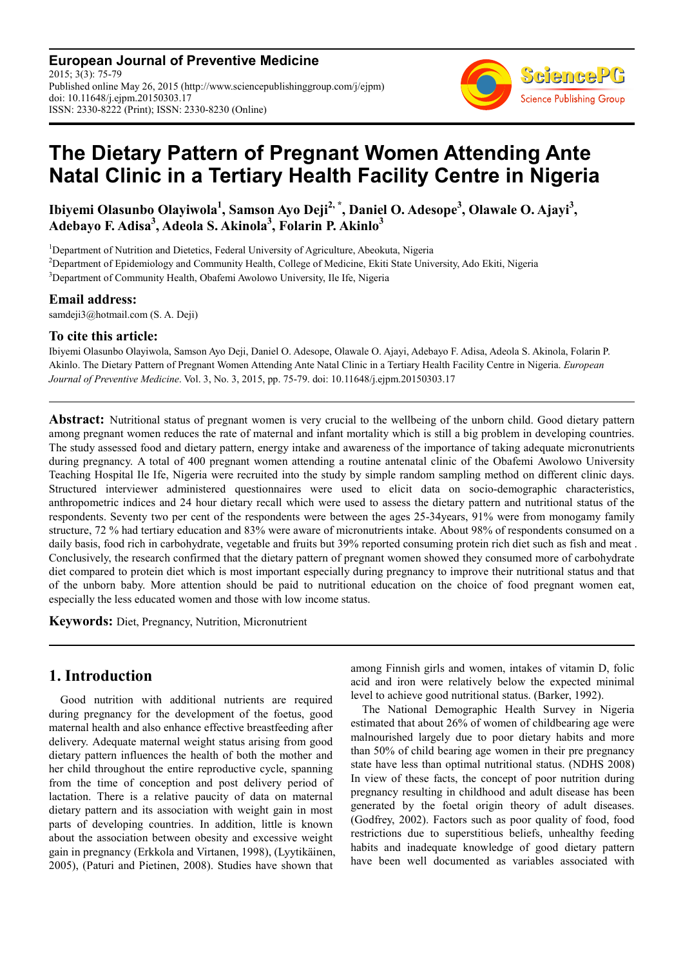**European Journal of Preventive Medicine** 2015; 3(3): 75-79 Published online May 26, 2015 (http://www.sciencepublishinggroup.com/j/ejpm) doi: 10.11648/j.ejpm.20150303.17 ISSN: 2330-8222 (Print); ISSN: 2330-8230 (Online)



# **The Dietary Pattern of Pregnant Women Attending Ante Natal Clinic in a Tertiary Health Facility Centre in Nigeria**

**Ibiyemi Olasunbo Olayiwola<sup>1</sup> , Samson Ayo Deji2, \*, Daniel O. Adesope<sup>3</sup> , Olawale O. Ajayi<sup>3</sup> , Adebayo F. Adisa<sup>3</sup> , Adeola S. Akinola<sup>3</sup> , Folarin P. Akinlo<sup>3</sup>**

<sup>1</sup>Department of Nutrition and Dietetics, Federal University of Agriculture, Abeokuta, Nigeria

<sup>2</sup>Department of Epidemiology and Community Health, College of Medicine, Ekiti State University, Ado Ekiti, Nigeria

<sup>3</sup>Department of Community Health, Obafemi Awolowo University, Ile Ife, Nigeria

#### **Email address:**

samdeji3@hotmail.com (S. A. Deji)

#### **To cite this article:**

Ibiyemi Olasunbo Olayiwola, Samson Ayo Deji, Daniel O. Adesope, Olawale O. Ajayi, Adebayo F. Adisa, Adeola S. Akinola, Folarin P. Akinlo. The Dietary Pattern of Pregnant Women Attending Ante Natal Clinic in a Tertiary Health Facility Centre in Nigeria. *European Journal of Preventive Medicine*. Vol. 3, No. 3, 2015, pp. 75-79. doi: 10.11648/j.ejpm.20150303.17

**Abstract:** Nutritional status of pregnant women is very crucial to the wellbeing of the unborn child. Good dietary pattern among pregnant women reduces the rate of maternal and infant mortality which is still a big problem in developing countries. The study assessed food and dietary pattern, energy intake and awareness of the importance of taking adequate micronutrients during pregnancy. A total of 400 pregnant women attending a routine antenatal clinic of the Obafemi Awolowo University Teaching Hospital Ile Ife, Nigeria were recruited into the study by simple random sampling method on different clinic days. Structured interviewer administered questionnaires were used to elicit data on socio-demographic characteristics, anthropometric indices and 24 hour dietary recall which were used to assess the dietary pattern and nutritional status of the respondents. Seventy two per cent of the respondents were between the ages 25-34years, 91% were from monogamy family structure, 72 % had tertiary education and 83% were aware of micronutrients intake. About 98% of respondents consumed on a daily basis, food rich in carbohydrate, vegetable and fruits but 39% reported consuming protein rich diet such as fish and meat . Conclusively, the research confirmed that the dietary pattern of pregnant women showed they consumed more of carbohydrate diet compared to protein diet which is most important especially during pregnancy to improve their nutritional status and that of the unborn baby. More attention should be paid to nutritional education on the choice of food pregnant women eat, especially the less educated women and those with low income status.

**Keywords:** Diet, Pregnancy, Nutrition, Micronutrient

## **1. Introduction**

Good nutrition with additional nutrients are required during pregnancy for the development of the foetus, good maternal health and also enhance effective breastfeeding after delivery. Adequate maternal weight status arising from good dietary pattern influences the health of both the mother and her child throughout the entire reproductive cycle, spanning from the time of conception and post delivery period of lactation. There is a relative paucity of data on maternal dietary pattern and its association with weight gain in most parts of developing countries. In addition, little is known about the association between obesity and excessive weight gain in pregnancy (Erkkola and Virtanen, 1998), (Lyytikäinen, 2005), (Paturi and Pietinen, 2008). Studies have shown that

among Finnish girls and women, intakes of vitamin D, folic acid and iron were relatively below the expected minimal level to achieve good nutritional status. (Barker, 1992).

The National Demographic Health Survey in Nigeria estimated that about 26% of women of childbearing age were malnourished largely due to poor dietary habits and more than 50% of child bearing age women in their pre pregnancy state have less than optimal nutritional status. (NDHS 2008) In view of these facts, the concept of poor nutrition during pregnancy resulting in childhood and adult disease has been generated by the foetal origin theory of adult diseases. (Godfrey, 2002). Factors such as poor quality of food, food restrictions due to superstitious beliefs, unhealthy feeding habits and inadequate knowledge of good dietary pattern have been well documented as variables associated with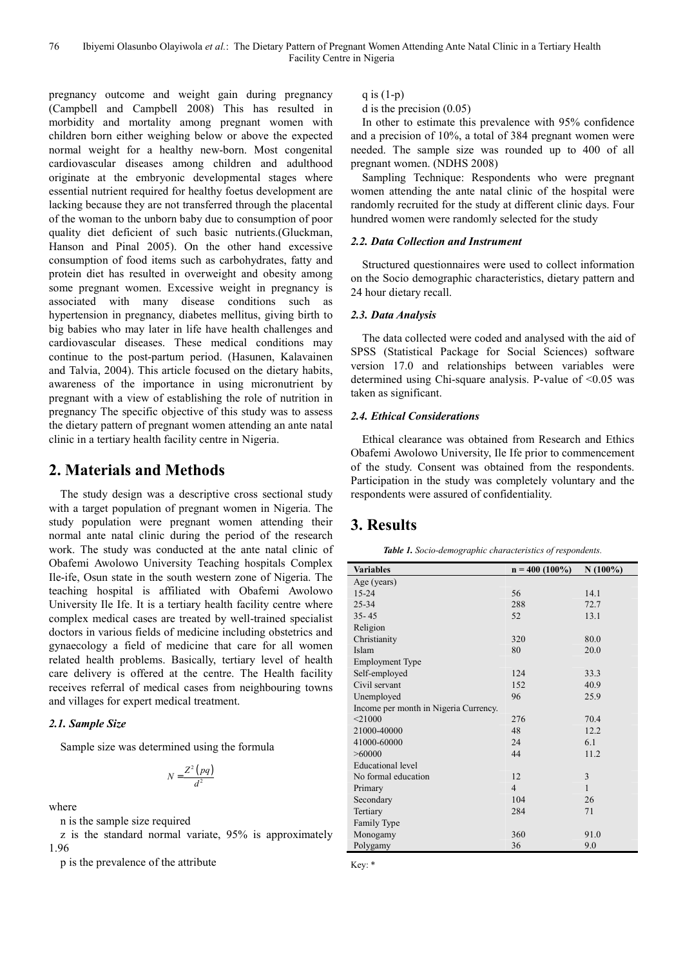pregnancy outcome and weight gain during pregnancy (Campbell and Campbell 2008) This has resulted in morbidity and mortality among pregnant women with children born either weighing below or above the expected normal weight for a healthy new-born. Most congenital cardiovascular diseases among children and adulthood originate at the embryonic developmental stages where essential nutrient required for healthy foetus development are lacking because they are not transferred through the placental of the woman to the unborn baby due to consumption of poor quality diet deficient of such basic nutrients.(Gluckman, Hanson and Pinal 2005). On the other hand excessive consumption of food items such as carbohydrates, fatty and protein diet has resulted in overweight and obesity among some pregnant women. Excessive weight in pregnancy is associated with many disease conditions such as hypertension in pregnancy, diabetes mellitus, giving birth to big babies who may later in life have health challenges and cardiovascular diseases. These medical conditions may continue to the post-partum period. (Hasunen, Kalavainen and Talvia, 2004). This article focused on the dietary habits, awareness of the importance in using micronutrient by pregnant with a view of establishing the role of nutrition in pregnancy The specific objective of this study was to assess the dietary pattern of pregnant women attending an ante natal clinic in a tertiary health facility centre in Nigeria.

# **2. Materials and Methods**

The study design was a descriptive cross sectional study with a target population of pregnant women in Nigeria. The study population were pregnant women attending their normal ante natal clinic during the period of the research work. The study was conducted at the ante natal clinic of Obafemi Awolowo University Teaching hospitals Complex Ile-ife, Osun state in the south western zone of Nigeria. The teaching hospital is affiliated with Obafemi Awolowo University Ile Ife. It is a tertiary health facility centre where complex medical cases are treated by well-trained specialist doctors in various fields of medicine including obstetrics and gynaecology a field of medicine that care for all women related health problems. Basically, tertiary level of health care delivery is offered at the centre. The Health facility receives referral of medical cases from neighbouring towns and villages for expert medical treatment.

### *2.1. Sample Size*

Sample size was determined using the formula

$$
N = \frac{Z^2 (pq)}{d^2}
$$

where

n is the sample size required

z is the standard normal variate, 95% is approximately 1.96

p is the prevalence of the attribute

q is  $(1-p)$ 

d is the precision (0.05)

In other to estimate this prevalence with 95% confidence and a precision of 10%, a total of 384 pregnant women were needed. The sample size was rounded up to 400 of all pregnant women. (NDHS 2008)

Sampling Technique: Respondents who were pregnant women attending the ante natal clinic of the hospital were randomly recruited for the study at different clinic days. Four hundred women were randomly selected for the study

#### *2.2. Data Collection and Instrument*

Structured questionnaires were used to collect information on the Socio demographic characteristics, dietary pattern and 24 hour dietary recall.

#### *2.3. Data Analysis*

The data collected were coded and analysed with the aid of SPSS (Statistical Package for Social Sciences) software version 17.0 and relationships between variables were determined using Chi-square analysis. P-value of <0.05 was taken as significant.

#### *2.4. Ethical Considerations*

Ethical clearance was obtained from Research and Ethics Obafemi Awolowo University, Ile Ife prior to commencement of the study. Consent was obtained from the respondents. Participation in the study was completely voluntary and the respondents were assured of confidentiality.

# **3. Results**

| <b>Variables</b>                      | $n = 400 (100\%)$ | $N(100\%)$   |
|---------------------------------------|-------------------|--------------|
|                                       |                   |              |
| Age (years)                           |                   |              |
| $15 - 24$                             | 56                | 14.1         |
| 25-34                                 | 288               | 72.7         |
| $35 - 45$                             | 52                | 13.1         |
| Religion                              |                   |              |
| Christianity                          | 320               | 80.0         |
| Islam                                 | 80                | 20.0         |
| <b>Employment Type</b>                |                   |              |
| Self-employed                         | 124               | 33.3         |
| Civil servant                         | 152               | 40.9         |
| Unemployed                            | 96                | 25.9         |
| Income per month in Nigeria Currency. |                   |              |
| $<$ 21000                             | 276               | 70.4         |
| 21000-40000                           | 48                | 12.2         |
| 41000-60000                           | 24                | 6.1          |
| > 60000                               | 44                | 11.2         |
| <b>Educational level</b>              |                   |              |
| No formal education                   | 12                | 3            |
| Primary                               | $\overline{4}$    | $\mathbf{1}$ |
| Secondary                             | 104               | 26           |
| Tertiary                              | 284               | 71           |
| Family Type                           |                   |              |
| Monogamy                              | 360               | 91.0         |
| Polygamy                              | 36                | 9.0          |

Key: \*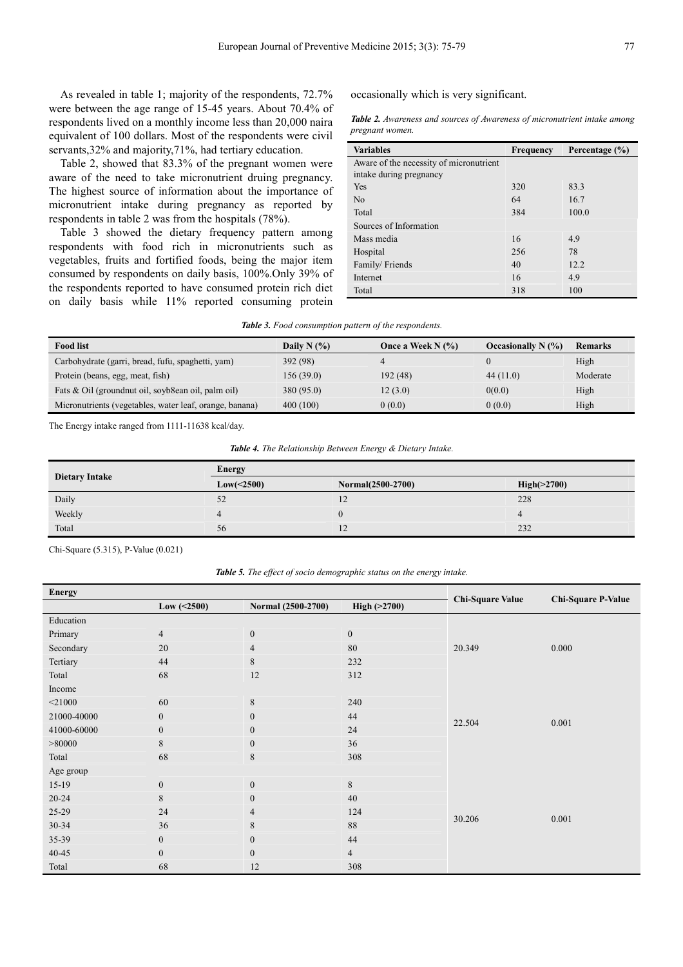As revealed in table 1; majority of the respondents, 72.7% were between the age range of 15-45 years. About 70.4% of respondents lived on a monthly income less than 20,000 naira equivalent of 100 dollars. Most of the respondents were civil servants,  $32\%$  and majority,  $71\%$ , had tertiary education.

Table 2, showed that 83.3% of the pregnant women were aware of the need to take micronutrient druing pregnancy. The highest source of information about the importance of micronutrient intake during pregnancy as reported by respondents in table 2 was from the hospitals (78%).

Table 3 showed the dietary frequency pattern among respondents with food rich in micronutrients such as vegetables, fruits and fortified foods, being the major item consumed by respondents on daily basis, 100%.Only 39% of the respondents reported to have consumed protein rich diet on daily basis while 11% reported consuming protein occasionally which is very significant.

*Table 2. Awareness and sources of Awareness of micronutrient intake among pregnant women.* 

| <b>Variables</b>                        | <b>Frequency</b> | Percentage $(\% )$ |
|-----------------------------------------|------------------|--------------------|
| Aware of the necessity of micronutrient |                  |                    |
| intake during pregnancy                 |                  |                    |
| Yes                                     | 320              | 83.3               |
| N <sub>0</sub>                          | 64               | 16.7               |
| Total                                   | 384              | 100.0              |
| Sources of Information                  |                  |                    |
| Mass media                              | 16               | 4.9                |
| Hospital                                | 256              | 78                 |
| Family/Friends                          | 40               | 12.2               |
| Internet                                | 16               | 4.9                |
| Total                                   | 318              | 100                |

| <b>Table 3.</b> Food consumption pattern of the respondents. |
|--------------------------------------------------------------|
|--------------------------------------------------------------|

| <b>Food list</b>                                        | Daily N $(%)$ | Once a Week N $(\% )$ | Occasionally $N(\%)$ | Remarks  |
|---------------------------------------------------------|---------------|-----------------------|----------------------|----------|
| Carbohydrate (garri, bread, fufu, spaghetti, yam)       | 392 (98)      |                       |                      | High     |
| Protein (beans, egg, meat, fish)                        | 156(39.0)     | 192 (48)              | 44(11.0)             | Moderate |
| Fats & Oil (ground nut oil, soyb8ean oil, palm oil)     | 380 (95.0)    | 12(3.0)               | 0(0.0)               | High     |
| Micronutrients (vegetables, water leaf, orange, banana) | 400(100)      | 0(0.0)                | 0(0.0)               | High     |

The Energy intake ranged from 1111-11638 kcal/day.

*Table 4. The Relationship Between Energy & Dietary Intake.* 

|                       | Energy     |                   |             |  |  |  |
|-----------------------|------------|-------------------|-------------|--|--|--|
| <b>Dietary Intake</b> | Low(<2500) | Normal(2500-2700) | High(>2700) |  |  |  |
| Daily                 | 52         |                   | 228         |  |  |  |
| Weekly                |            |                   |             |  |  |  |
| Total                 | 56         |                   | 232         |  |  |  |

Chi-Square (5.315), P-Value (0.021)

*Table 5. The effect of socio demographic status on the energy intake.* 

| <b>Energy</b> |                  |                    |                  |                         |                           |  |
|---------------|------------------|--------------------|------------------|-------------------------|---------------------------|--|
|               | Low $( < 2500)$  | Normal (2500-2700) | High (>2700)     | <b>Chi-Square Value</b> | <b>Chi-Square P-Value</b> |  |
| Education     |                  |                    |                  |                         |                           |  |
| Primary       | 4                | $\boldsymbol{0}$   | $\boldsymbol{0}$ |                         |                           |  |
| Secondary     | 20               | $\overline{4}$     | 80               | 20.349                  | 0.000                     |  |
| Tertiary      | 44               | 8                  | 232              |                         |                           |  |
| Total         | 68               | 12                 | 312              |                         |                           |  |
| Income        |                  |                    |                  |                         |                           |  |
| $<$ 21000     | 60               | 8                  | 240              |                         | 0.001                     |  |
| 21000-40000   | $\boldsymbol{0}$ | $\boldsymbol{0}$   | 44               | 22.504                  |                           |  |
| 41000-60000   | $\boldsymbol{0}$ | $\boldsymbol{0}$   | 24               |                         |                           |  |
| > 80000       | 8                | $\boldsymbol{0}$   | 36               |                         |                           |  |
| Total         | 68               | 8                  | 308              |                         |                           |  |
| Age group     |                  |                    |                  |                         |                           |  |
| $15-19$       | $\boldsymbol{0}$ | $\boldsymbol{0}$   | $\,$ 8 $\,$      |                         |                           |  |
| $20 - 24$     | 8                | $\boldsymbol{0}$   | 40               |                         | 0.001                     |  |
| 25-29         | 24               | 4                  | 124              | 30.206                  |                           |  |
| 30-34         | 36               | 8                  | 88               |                         |                           |  |
| 35-39         | $\boldsymbol{0}$ | $\boldsymbol{0}$   | 44               |                         |                           |  |
| 40-45         | $\boldsymbol{0}$ | $\overline{0}$     | $\overline{4}$   |                         |                           |  |
| Total         | 68               | 12                 | 308              |                         |                           |  |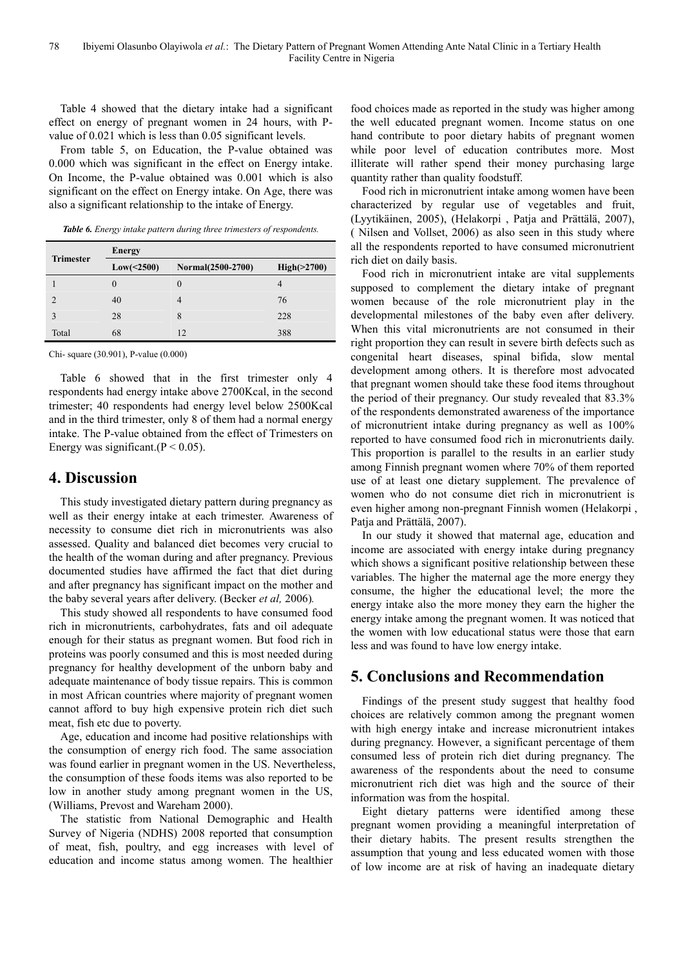Table 4 showed that the dietary intake had a significant effect on energy of pregnant women in 24 hours, with Pvalue of 0.021 which is less than 0.05 significant levels.

From table 5, on Education, the P-value obtained was 0.000 which was significant in the effect on Energy intake. On Income, the P-value obtained was 0.001 which is also significant on the effect on Energy intake. On Age, there was also a significant relationship to the intake of Energy.

|  |  |  |  |  |  |  |  | Table 6. Energy intake pattern during three trimesters of respondents. |
|--|--|--|--|--|--|--|--|------------------------------------------------------------------------|
|--|--|--|--|--|--|--|--|------------------------------------------------------------------------|

|                  | <b>Energy</b> |                   |             |  |  |  |
|------------------|---------------|-------------------|-------------|--|--|--|
| <b>Trimester</b> | Low(<2500)    | Normal(2500-2700) | High(>2700) |  |  |  |
|                  |               | $\theta$          | 4           |  |  |  |
|                  | 40            |                   | 76          |  |  |  |
|                  | 28            | 8                 | 228         |  |  |  |
| Total            | 68            | 12                | 388         |  |  |  |

Chi- square (30.901), P-value (0.000)

Table 6 showed that in the first trimester only 4 respondents had energy intake above 2700Kcal, in the second trimester; 40 respondents had energy level below 2500Kcal and in the third trimester, only 8 of them had a normal energy intake. The P-value obtained from the effect of Trimesters on Energy was significant.  $(P < 0.05)$ .

## **4. Discussion**

This study investigated dietary pattern during pregnancy as well as their energy intake at each trimester. Awareness of necessity to consume diet rich in micronutrients was also assessed. Quality and balanced diet becomes very crucial to the health of the woman during and after pregnancy. Previous documented studies have affirmed the fact that diet during and after pregnancy has significant impact on the mother and the baby several years after delivery. (Becker *et al,* 2006)*.*

This study showed all respondents to have consumed food rich in micronutrients, carbohydrates, fats and oil adequate enough for their status as pregnant women. But food rich in proteins was poorly consumed and this is most needed during pregnancy for healthy development of the unborn baby and adequate maintenance of body tissue repairs. This is common in most African countries where majority of pregnant women cannot afford to buy high expensive protein rich diet such meat, fish etc due to poverty.

Age, education and income had positive relationships with the consumption of energy rich food. The same association was found earlier in pregnant women in the US. Nevertheless, the consumption of these foods items was also reported to be low in another study among pregnant women in the US, (Williams, Prevost and Wareham 2000).

The statistic from National Demographic and Health Survey of Nigeria (NDHS) 2008 reported that consumption of meat, fish, poultry, and egg increases with level of education and income status among women. The healthier

food choices made as reported in the study was higher among the well educated pregnant women. Income status on one hand contribute to poor dietary habits of pregnant women while poor level of education contributes more. Most illiterate will rather spend their money purchasing large quantity rather than quality foodstuff.

Food rich in micronutrient intake among women have been characterized by regular use of vegetables and fruit, (Lyytikäinen, 2005), (Helakorpi , Patja and Prättälä, 2007), ( Nilsen and Vollset, 2006) as also seen in this study where all the respondents reported to have consumed micronutrient rich diet on daily basis.

Food rich in micronutrient intake are vital supplements supposed to complement the dietary intake of pregnant women because of the role micronutrient play in the developmental milestones of the baby even after delivery. When this vital micronutrients are not consumed in their right proportion they can result in severe birth defects such as congenital heart diseases, spinal bifida, slow mental development among others. It is therefore most advocated that pregnant women should take these food items throughout the period of their pregnancy. Our study revealed that 83.3% of the respondents demonstrated awareness of the importance of micronutrient intake during pregnancy as well as 100% reported to have consumed food rich in micronutrients daily. This proportion is parallel to the results in an earlier study among Finnish pregnant women where 70% of them reported use of at least one dietary supplement. The prevalence of women who do not consume diet rich in micronutrient is even higher among non-pregnant Finnish women (Helakorpi , Patja and Prättälä, 2007).

In our study it showed that maternal age, education and income are associated with energy intake during pregnancy which shows a significant positive relationship between these variables. The higher the maternal age the more energy they consume, the higher the educational level; the more the energy intake also the more money they earn the higher the energy intake among the pregnant women. It was noticed that the women with low educational status were those that earn less and was found to have low energy intake.

## **5. Conclusions and Recommendation**

Findings of the present study suggest that healthy food choices are relatively common among the pregnant women with high energy intake and increase micronutrient intakes during pregnancy. However, a significant percentage of them consumed less of protein rich diet during pregnancy. The awareness of the respondents about the need to consume micronutrient rich diet was high and the source of their information was from the hospital.

Eight dietary patterns were identified among these pregnant women providing a meaningful interpretation of their dietary habits. The present results strengthen the assumption that young and less educated women with those of low income are at risk of having an inadequate dietary